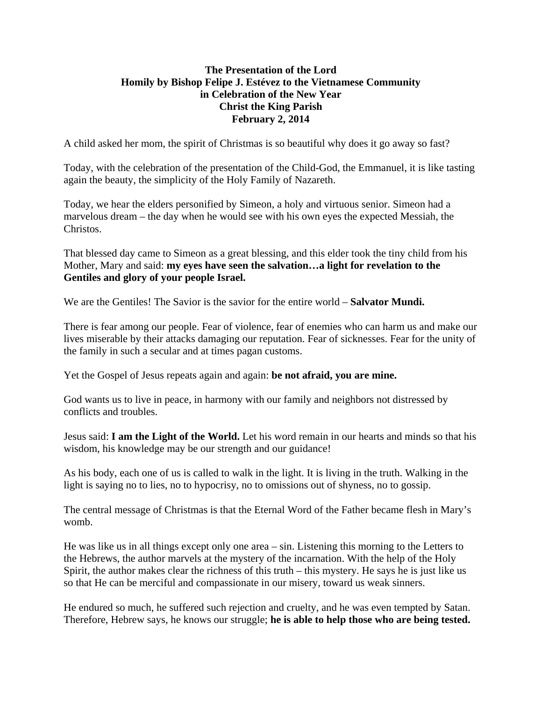## **The Presentation of the Lord Homily by Bishop Felipe J. Estévez to the Vietnamese Community in Celebration of the New Year Christ the King Parish February 2, 2014**

A child asked her mom, the spirit of Christmas is so beautiful why does it go away so fast?

Today, with the celebration of the presentation of the Child-God, the Emmanuel, it is like tasting again the beauty, the simplicity of the Holy Family of Nazareth.

Today, we hear the elders personified by Simeon, a holy and virtuous senior. Simeon had a marvelous dream – the day when he would see with his own eyes the expected Messiah, the Christos.

That blessed day came to Simeon as a great blessing, and this elder took the tiny child from his Mother, Mary and said: **my eyes have seen the salvation…a light for revelation to the Gentiles and glory of your people Israel.** 

We are the Gentiles! The Savior is the savior for the entire world – **Salvator Mundi.** 

There is fear among our people. Fear of violence, fear of enemies who can harm us and make our lives miserable by their attacks damaging our reputation. Fear of sicknesses. Fear for the unity of the family in such a secular and at times pagan customs.

Yet the Gospel of Jesus repeats again and again: **be not afraid, you are mine.** 

God wants us to live in peace, in harmony with our family and neighbors not distressed by conflicts and troubles.

Jesus said: **I am the Light of the World.** Let his word remain in our hearts and minds so that his wisdom, his knowledge may be our strength and our guidance!

As his body, each one of us is called to walk in the light. It is living in the truth. Walking in the light is saying no to lies, no to hypocrisy, no to omissions out of shyness, no to gossip.

The central message of Christmas is that the Eternal Word of the Father became flesh in Mary's womb.

He was like us in all things except only one area – sin. Listening this morning to the Letters to the Hebrews, the author marvels at the mystery of the incarnation. With the help of the Holy Spirit, the author makes clear the richness of this truth – this mystery. He says he is just like us so that He can be merciful and compassionate in our misery, toward us weak sinners.

He endured so much, he suffered such rejection and cruelty, and he was even tempted by Satan. Therefore, Hebrew says, he knows our struggle; **he is able to help those who are being tested.**